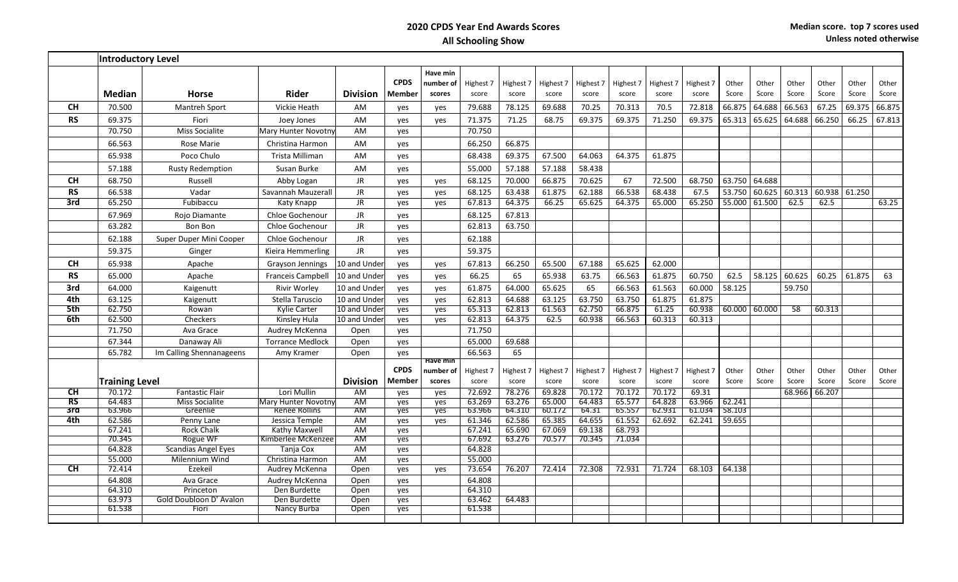|                        | <b>Introductory Level</b> |                                      |                                     |                 |               |           |                  |                  |                  |                  |                  |           |           |        |               |        |        |        |        |
|------------------------|---------------------------|--------------------------------------|-------------------------------------|-----------------|---------------|-----------|------------------|------------------|------------------|------------------|------------------|-----------|-----------|--------|---------------|--------|--------|--------|--------|
|                        |                           |                                      |                                     |                 |               | Have min  |                  |                  |                  |                  |                  |           |           |        |               |        |        |        |        |
|                        |                           |                                      |                                     |                 | <b>CPDS</b>   | number of | Highest 7        | Highest 7        | Highest 7        | Highest 7        | Highest 7        | Highest 7 | Highest 7 | Other  | Other         | Other  | Other  | Other  | Other  |
|                        | <b>Median</b>             | Horse                                | Rider                               | <b>Division</b> | Member        | scores    | score            | score            | score            | score            | score            | score     | score     | Score  | Score         | Score  | Score  | Score  | Score  |
| CН                     | 70.500                    | <b>Mantreh Sport</b>                 | Vickie Heath                        | AM              | yes           | yes       | 79.688           | 78.125           | 69.688           | 70.25            | 70.313           | 70.5      | 72.818    | 66.875 | 64.688        | 66.563 | 67.25  | 69.375 | 66.875 |
| <b>RS</b>              | 69.375                    | Fiori                                | Joey Jones                          | AM              | ves           | yes       | 71.375           | 71.25            | 68.75            | 69.375           | 69.375           | 71.250    | 69.375    | 65.313 | 65.625        | 64.688 | 66.250 | 66.25  | 67.813 |
|                        | 70.750                    | Miss Socialite                       | Mary Hunter Novotny                 | AM              | ves           |           | 70.750           |                  |                  |                  |                  |           |           |        |               |        |        |        |        |
|                        | 66.563                    | Rose Marie                           | Christina Harmon                    | AM              | yes           |           | 66.250           | 66.875           |                  |                  |                  |           |           |        |               |        |        |        |        |
|                        | 65.938                    | Poco Chulo                           | Trista Milliman                     | AM              | yes           |           | 68.438           | 69.375           | 67.500           | 64.063           | 64.375           | 61.875    |           |        |               |        |        |        |        |
|                        | 57.188                    | <b>Rusty Redemption</b>              | Susan Burke                         | AM              | ves           |           | 55.000           | 57.188           | 57.188           | 58.438           |                  |           |           |        |               |        |        |        |        |
| CН                     | 68.750                    | Russell                              | Abby Logan                          | JR              | yes           | yes       | 68.125           | 70.000           | 66.875           | 70.625           | 67               | 72.500    | 68.750    | 63.750 | 64.688        |        |        |        |        |
| <b>RS</b>              | 66.538                    | Vadar                                | Savannah Mauzerall                  | JR              | yes           | yes       | 68.125           | 63.438           | 61.875           | 62.188           | 66.538           | 68.438    | 67.5      | 53.750 | 60.625 60.313 |        | 60.938 | 61.250 |        |
| 3rd                    | 65.250                    | Fubibaccu                            | Katy Knapp                          | JR              | yes           | yes       | 67.813           | 64.375           | 66.25            | 65.625           | 64.375           | 65.000    | 65.250    | 55.000 | 61.500        | 62.5   | 62.5   |        | 63.25  |
|                        | 67.969                    | Rojo Diamante                        | Chloe Gochenour                     | JR              | yes           |           | 68.125           | 67.813           |                  |                  |                  |           |           |        |               |        |        |        |        |
|                        | 63.282                    | Bon Bon                              | Chloe Gochenour                     | <b>JR</b>       | yes           |           | 62.813           | 63.750           |                  |                  |                  |           |           |        |               |        |        |        |        |
|                        | 62.188                    | Super Duper Mini Cooper              | Chloe Gochenour                     | JR              | yes           |           | 62.188           |                  |                  |                  |                  |           |           |        |               |        |        |        |        |
|                        | 59.375                    | Ginger                               | Kieira Hemmerling                   | JR.             | yes           |           | 59.375           |                  |                  |                  |                  |           |           |        |               |        |        |        |        |
| CН                     | 65.938                    | Apache                               | Grayson Jennings                    | 10 and Under    | ves           | yes       | 67.813           | 66.250           | 65.500           | 67.188           | 65.625           | 62.000    |           |        |               |        |        |        |        |
| <b>RS</b>              | 65.000                    | Apache                               | <b>Franceis Campbell</b>            | 10 and Under    | ves           | yes       | 66.25            | 65               | 65.938           | 63.75            | 66.563           | 61.875    | 60.750    | 62.5   | 58.125        | 60.625 | 60.25  | 61.875 | 63     |
| 3rd                    | 64.000                    | Kaigenutt                            | <b>Rivir Worley</b>                 | 10 and Under    | ves           | yes       | 61.875           | 64.000           | 65.625           | 65               | 66.563           | 61.563    | 60.000    | 58.125 |               | 59.750 |        |        |        |
| 4th                    | 63.125                    | Kaigenutt                            | Stella Taruscio                     | 10 and Under    | yes           | yes       | 62.813           | 64.688           | 63.125           | 63.750           | 63.750           | 61.875    | 61.875    |        |               |        |        |        |        |
| 5th                    | 62.750                    | Rowan                                | Kylie Carter                        | 10 and Under    | ves           | yes       | 65.313           | 62.813           | 61.563           | 62.750           | 66.875           | 61.25     | 60.938    | 60.000 | 60.000        | 58     | 60.313 |        |        |
| 6th                    | 62.500                    | Checkers                             | Kinsley Hula                        | 10 and Under    | yes           | yes       | 62.813           | 64.375           | 62.5             | 60.938           | 66.563           | 60.313    | 60.313    |        |               |        |        |        |        |
|                        | 71.750                    | Ava Grace                            | Audrey McKenna                      | Open            | yes           |           | 71.750           |                  |                  |                  |                  |           |           |        |               |        |        |        |        |
|                        | 67.344                    | Danaway Ali                          | <b>Torrance Medlock</b>             | Open            | yes           |           | 65.000           | 69.688           |                  |                  |                  |           |           |        |               |        |        |        |        |
|                        | 65.782                    | Im Calling Shennanageens             | Amy Kramer                          | Open            | yes           | Have min  | 66.563           | 65               |                  |                  |                  |           |           |        |               |        |        |        |        |
|                        |                           |                                      |                                     |                 | <b>CPDS</b>   | number of | Highest 7        | Highest 7        | Highest 7        | Highest 7        | Highest 7        | Highest 7 | Highest 7 | Other  | Other         | Other  | Other  | Other  | Other  |
|                        | <b>Training Level</b>     |                                      |                                     | <b>Division</b> | <b>Member</b> | scores    | score            | score            | score            | score            | score            | score     | score     | Score  | Score         | Score  | Score  | Score  | Score  |
| <b>CH</b>              | 70.172                    | <b>Fantastic Flair</b>               | Lori Mullin                         | AM              | ves           | yes       | 72.692           | 78.276           | 69.828           | 70.172           | 70.172           | 70.172    | 69.31     |        |               | 68.966 | 66.207 |        |        |
| $\overline{\text{RS}}$ | 64.483                    | Miss Socialite                       | Mary Hunter Novotny                 | AM              | yes           | yes       | 63.269           | 63.276           | 65.000           | 64.483           | 65.577           | 64.828    | 63.966    | 62.241 |               |        |        |        |        |
| 3rd                    | 63.966                    | Greenlie                             | Renee Rollins                       | AM              | yes           | yes       | 63.966           | 64.310           | 60.172           | 64.31            | 65.557           | 62.931    | 61.034    | 58.103 |               |        |        |        |        |
| 4th                    | 62.586                    | Penny Lane                           | Jessica Temple                      | AM              | yes           | yes       | 61.346           | 62.586           | 65.385           | 64.655           | 61.552           | 62.692    | 62.241    | 59.655 |               |        |        |        |        |
|                        | 67.241<br>70.345          | <b>Rock Chalk</b><br><b>Rogue WF</b> | Kathy Maxwell<br>Kimberlee McKenzee | AM<br><b>AM</b> | yes<br>yes    |           | 67.241<br>67.692 | 65.690<br>63.276 | 67.069<br>70.577 | 69.138<br>70.345 | 68.793<br>71.034 |           |           |        |               |        |        |        |        |
|                        | 64.828                    | <b>Scandias Angel Eyes</b>           | Tanja Cox                           | AM              | yes           |           | 64.828           |                  |                  |                  |                  |           |           |        |               |        |        |        |        |
|                        | 55.000                    | Milennium Wind                       | Christina Harmon                    | AM              | yes           |           | 55.000           |                  |                  |                  |                  |           |           |        |               |        |        |        |        |
| CH                     | 72.414                    | Ezekeil                              | Audrey McKenna                      | Open            | yes           | yes       | 73.654           | 76.207           | 72.414           | 72.308           | 72.931           | 71.724    | 68.103    | 64.138 |               |        |        |        |        |
|                        | 64.808                    | Ava Grace                            | Audrey McKenna                      | Open            | ves           |           | 64.808           |                  |                  |                  |                  |           |           |        |               |        |        |        |        |
|                        | 64.310                    | Princeton                            | Den Burdette                        | Open            | yes           |           | 64.310           |                  |                  |                  |                  |           |           |        |               |        |        |        |        |
|                        | 63.973                    | Gold Doubloon D' Avalon              | Den Burdette                        | Open            | ves           |           | 63.462           | 64.483           |                  |                  |                  |           |           |        |               |        |        |        |        |
|                        | 61.538                    | Fiori                                | Nancy Burba                         | Open            | yes           |           | 61.538           |                  |                  |                  |                  |           |           |        |               |        |        |        |        |
|                        |                           |                                      |                                     |                 |               |           |                  |                  |                  |                  |                  |           |           |        |               |        |        |        |        |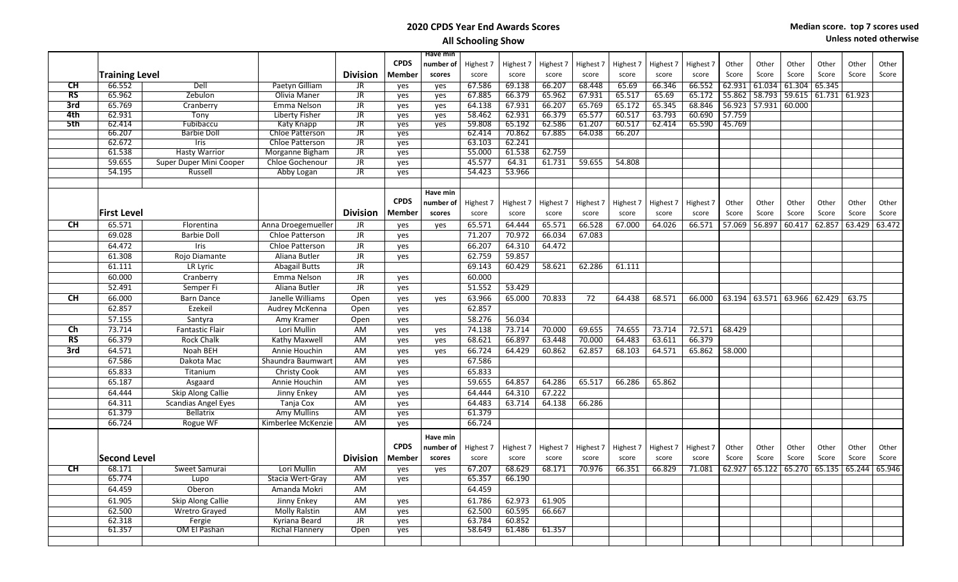| Unless noted otherwise |  |  |  |
|------------------------|--|--|--|
|------------------------|--|--|--|

|                           |                       |                            |                         |                                   |             | Have min  |           |           |           |           |           |           |           |        |                      |        |               |        |        |
|---------------------------|-----------------------|----------------------------|-------------------------|-----------------------------------|-------------|-----------|-----------|-----------|-----------|-----------|-----------|-----------|-----------|--------|----------------------|--------|---------------|--------|--------|
|                           |                       |                            |                         |                                   | <b>CPDS</b> | number of | Highest 7 | Highest 7 | Highest 7 | Highest 7 | Highest 7 | Highest 7 | Highest 7 | Other  | Other                | Other  | Other         | Other  | Other  |
|                           | <b>Training Level</b> |                            |                         | <b>Division</b>                   | Member      | scores    | score     | score     | score     | score     | score     | score     | score     | Score  | Score                | Score  | Score         | Score  | Score  |
| CH                        | 66.552                | Dell                       | Paetyn Gilliam          | <b>JR</b>                         | yes         | yes       | 67.586    | 69.138    | 66.207    | 68.448    | 65.69     | 66.346    | 66.552    | 62.931 | 61.034               | 61.304 | 65.345        |        |        |
| RS                        | 65.962                | Zebulon                    | Olivia Maner            | JR                                | ves         | yes       | 67.885    | 66.379    | 65.962    | 67.931    | 65.517    | 65.69     | 65.172    |        | 55.862 58.793 59.615 |        | 61.731 61.923 |        |        |
| 3rd                       | 65.769                | Cranberry                  | Emma Nelson             | $\overline{\text{JR}}$            | yes         | yes       | 64.138    | 67.931    | 66.207    | 65.769    | 65.172    | 65.345    | 68.846    |        | 56.923 57.931 60.000 |        |               |        |        |
| 4th                       | 62.931                | Tony                       | Liberty Fisher          | $\overline{\text{J}R}$            | yes         | yes       | 58.462    | 62.931    | 66.379    | 65.577    | 60.517    | 63.793    | 60.690    | 57.759 |                      |        |               |        |        |
| 5th                       | 62.414                | Fubibaccu                  | <b>Katy Knapp</b>       | $\overline{\text{J}R}$            | yes         | yes       | 59.808    | 65.192    | 62.586    | 61.207    | 60.517    | 62.414    | 65.590    | 45.769 |                      |        |               |        |        |
|                           | 66.207                | <b>Barbie Doll</b>         | <b>Chloe Patterson</b>  | JR                                | ves         |           | 62.414    | 70.862    | 67.885    | 64.038    | 66.207    |           |           |        |                      |        |               |        |        |
|                           | 62.672                | Iris                       | Chloe Patterson         | <b>JR</b>                         | yes         |           | 63.103    | 62.241    |           |           |           |           |           |        |                      |        |               |        |        |
|                           | 61.538                | <b>Hasty Warrior</b>       | Morganne Bigham         | $\overline{\mathsf{J}\mathsf{R}}$ | yes         |           | 55.000    | 61.538    | 62.759    |           |           |           |           |        |                      |        |               |        |        |
|                           | 59.655                | Super Duper Mini Cooper    | Chloe Gochenour         | <b>JR</b>                         | yes         |           | 45.577    | 64.31     | 61.731    | 59.655    | 54.808    |           |           |        |                      |        |               |        |        |
|                           | 54.195                | Russell                    | Abby Logan              | <b>JR</b>                         | yes         |           | 54.423    | 53.966    |           |           |           |           |           |        |                      |        |               |        |        |
|                           |                       |                            |                         |                                   |             |           |           |           |           |           |           |           |           |        |                      |        |               |        |        |
|                           |                       |                            |                         |                                   |             | Have min  |           |           |           |           |           |           |           |        |                      |        |               |        |        |
|                           |                       |                            |                         |                                   | <b>CPDS</b> | number of | Highest 7 | Highest 7 | Highest 7 | Highest 7 | Highest 7 | Highest 7 | Highest 7 | Other  | Other                | Other  | Other         | Other  | Other  |
|                           | <b>First Level</b>    |                            |                         | <b>Division</b>                   | Member      | scores    | score     | score     | score     | score     | score     | score     | score     | Score  | Score                | Score  | Score         | Score  | Score  |
| <b>CH</b>                 | 65.571                | Florentina                 | Anna Droegemueller      | JR                                | yes         | yes       | 65.571    | 64.444    | 65.571    | 66.528    | 67.000    | 64.026    | 66.571    | 57.069 | 56.897               | 60.417 | 62.857        | 63.429 | 63.472 |
|                           | 69.028                | <b>Barbie Doll</b>         | Chloe Patterson         | <b>JR</b>                         | ves         |           | 71.207    | 70.972    | 66.034    | 67.083    |           |           |           |        |                      |        |               |        |        |
|                           | 64.472                | Iris                       | Chloe Patterson         | <b>JR</b>                         | yes         |           | 66.207    | 64.310    | 64.472    |           |           |           |           |        |                      |        |               |        |        |
|                           | 61.308                | Rojo Diamante              | Aliana Butler           | <b>JR</b>                         | ves         |           | 62.759    | 59.857    |           |           |           |           |           |        |                      |        |               |        |        |
|                           | 61.111                | LR Lyric                   |                         | <b>JR</b>                         |             |           | 69.143    | 60.429    | 58.621    | 62.286    | 61.111    |           |           |        |                      |        |               |        |        |
|                           | 60.000                |                            | <b>Abagail Butts</b>    | <b>JR</b>                         |             |           |           |           |           |           |           |           |           |        |                      |        |               |        |        |
|                           |                       | Cranberry                  | Emma Nelson             |                                   | yes         |           | 60.000    |           |           |           |           |           |           |        |                      |        |               |        |        |
|                           | 52.491                | Semper Fi                  | Aliana Butler           | <b>JR</b>                         | yes         |           | 51.552    | 53.429    |           |           |           |           |           |        |                      |        |               |        |        |
| <b>CH</b>                 | 66.000                | <b>Barn Dance</b>          | Janelle Williams        | Open                              | yes         | yes       | 63.966    | 65.000    | 70.833    | 72        | 64.438    | 68.571    | 66.000    |        | 63.194 63.571 63.966 |        | 62.429        | 63.75  |        |
|                           | 62.857                | Ezekeil                    | Audrey McKenna          | Open                              | yes         |           | 62.857    |           |           |           |           |           |           |        |                      |        |               |        |        |
|                           | 57.155                | Santyra                    | Amy Kramer              | Open                              | yes         |           | 58.276    | 56.034    |           |           |           |           |           |        |                      |        |               |        |        |
| Ch                        | 73.714                | <b>Fantastic Flair</b>     | Lori Mullin             | AM                                | yes         | yes       | 74.138    | 73.714    | 70.000    | 69.655    | 74.655    | 73.714    | 72.571    | 68.429 |                      |        |               |        |        |
| <b>RS</b>                 | 66.379                | <b>Rock Chalk</b>          | Kathy Maxwell           | AM                                | yes         | yes       | 68.621    | 66.897    | 63.448    | 70.000    | 64.483    | 63.611    | 66.379    |        |                      |        |               |        |        |
| 3rd                       | 64.571                | Noah BEH                   | Annie Houchin           | AM                                | yes         | yes       | 66.724    | 64.429    | 60.862    | 62.857    | 68.103    | 64.571    | 65.862    | 58.000 |                      |        |               |        |        |
|                           | 67.586                | Dakota Mac                 | Shaundra Baumwart       | AM                                | yes         |           | 67.586    |           |           |           |           |           |           |        |                      |        |               |        |        |
|                           | 65.833                | Titanium                   | <b>Christy Cook</b>     | AM                                | yes         |           | 65.833    |           |           |           |           |           |           |        |                      |        |               |        |        |
|                           | 65.187                | Asgaard                    | Annie Houchin           | AM                                | ves         |           | 59.655    | 64.857    | 64.286    | 65.517    | 66.286    | 65.862    |           |        |                      |        |               |        |        |
|                           | 64.444                | Skip Along Callie          | Jinny Enkey             | AM                                | ves         |           | 64.444    | 64.310    | 67.222    |           |           |           |           |        |                      |        |               |        |        |
|                           | 64.311                | <b>Scandias Angel Eyes</b> | Tanja Cox               | AM                                | yes         |           | 64.483    | 63.714    | 64.138    | 66.286    |           |           |           |        |                      |        |               |        |        |
|                           | 61.379                | <b>Bellatrix</b>           | Amy Mullins             | AM                                | yes         |           | 61.379    |           |           |           |           |           |           |        |                      |        |               |        |        |
|                           | 66.724                | Rogue WF                   | Kimberlee McKenzie      | AM                                | ves         |           | 66.724    |           |           |           |           |           |           |        |                      |        |               |        |        |
|                           |                       |                            |                         |                                   |             | Have min  |           |           |           |           |           |           |           |        |                      |        |               |        |        |
|                           |                       |                            |                         |                                   | <b>CPDS</b> |           |           |           |           |           |           |           |           |        |                      |        |               |        |        |
|                           |                       |                            |                         |                                   |             | number of | Highest 7 | Highest 7 | Highest 7 | Highest 7 | Highest 7 | Highest 7 | Highest 7 | Other  | Other                | Other  | Other         | Other  | Other  |
|                           | <b>Second Level</b>   |                            |                         | <b>Division</b>                   | Member      | scores    | score     | score     | score     | score     | score     | score     | score     | Score  | Score                | Score  | Score         | Score  | Score  |
| $\overline{\mathsf{C}}$ H | 68.171                | Sweet Samurai              | Lori Mullin             | <b>AM</b>                         | yes         | yes       | 67.207    | 68.629    | 68.171    | 70.976    | 66.351    | 66.829    | 71.081    | 62.927 | 65.122               | 65.270 | 65.135        | 65.244 | 65.946 |
|                           | 65.774                | Lupo                       | <b>Stacia Wert-Gray</b> | <b>AM</b>                         | ves         |           | 65.357    | 66.190    |           |           |           |           |           |        |                      |        |               |        |        |
|                           | 64.459                | Oberon                     | Amanda Mokri            | AM                                |             |           | 64.459    |           |           |           |           |           |           |        |                      |        |               |        |        |
|                           | 61.905                | Skip Along Callie          | Jinny Enkey             | AM                                | yes         |           | 61.786    | 62.973    | 61.905    |           |           |           |           |        |                      |        |               |        |        |
|                           | 62.500                | <b>Wretro Grayed</b>       | <b>Molly Ralstin</b>    | AM                                | ves         |           | 62.500    | 60.595    | 66.667    |           |           |           |           |        |                      |        |               |        |        |
|                           | 62.318                | Fergie                     | Kyriana Beard           | JR                                | yes         |           | 63.784    | 60.852    |           |           |           |           |           |        |                      |        |               |        |        |
|                           | 61.357                | <b>OM El Pashan</b>        | <b>Richal Flannery</b>  | Open                              | yes         |           | 58.649    | 61.486    | 61.357    |           |           |           |           |        |                      |        |               |        |        |
|                           |                       |                            |                         |                                   |             |           |           |           |           |           |           |           |           |        |                      |        |               |        |        |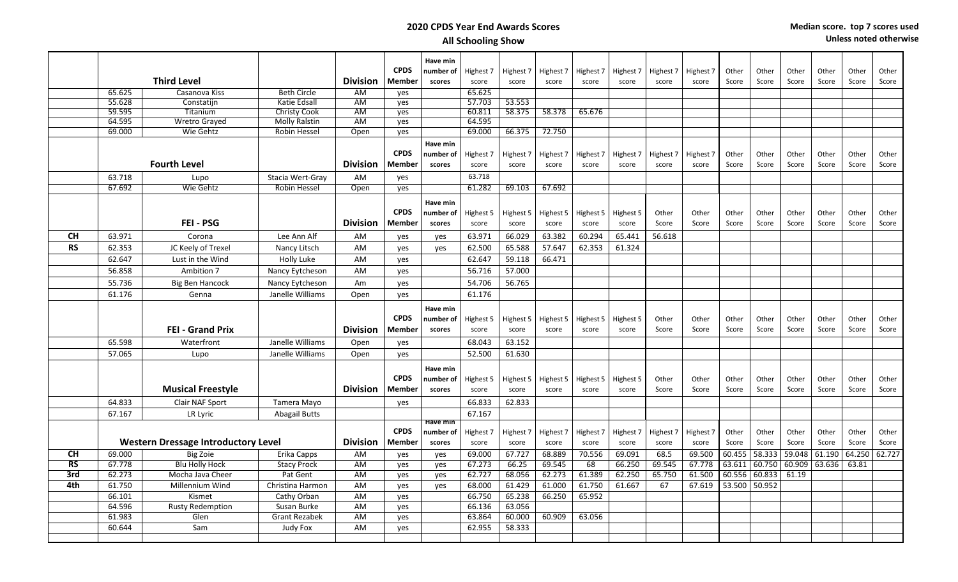|                        |        |                                            |                      |                 |             | Have min  |           |           |           |           |           |           |           |        |        |        |        |        |        |
|------------------------|--------|--------------------------------------------|----------------------|-----------------|-------------|-----------|-----------|-----------|-----------|-----------|-----------|-----------|-----------|--------|--------|--------|--------|--------|--------|
|                        |        |                                            |                      |                 | <b>CPDS</b> | number of | Highest 7 | Highest 7 | Highest 7 | Highest 7 | Highest 7 | Highest 7 | Highest 7 | Other  | Other  | Other  | Other  | Other  | Other  |
|                        |        | <b>Third Level</b>                         |                      | <b>Division</b> | Member      | scores    | score     | score     | score     | score     | score     | score     | score     | Score  | Score  | Score  | Score  | Score  | Score  |
|                        | 65.625 | Casanova Kiss                              | <b>Beth Circle</b>   | AM              | yes         |           | 65.625    |           |           |           |           |           |           |        |        |        |        |        |        |
|                        | 55.628 | Constatiin                                 | Katie Edsall         | AM              | yes         |           | 57.703    | 53.553    |           |           |           |           |           |        |        |        |        |        |        |
|                        | 59.595 | Titanium                                   | <b>Christy Cook</b>  | <b>AM</b>       | ves         |           | 60.811    | 58.375    | 58.378    | 65.676    |           |           |           |        |        |        |        |        |        |
|                        | 64.595 | Wretro Grayed                              | <b>Molly Ralstin</b> | <b>AM</b>       | yes         |           | 64.595    |           |           |           |           |           |           |        |        |        |        |        |        |
|                        | 69.000 | Wie Gehtz                                  | Robin Hessel         | Open            | yes         |           | 69.000    | 66.375    | 72.750    |           |           |           |           |        |        |        |        |        |        |
|                        |        |                                            |                      |                 |             | Have min  |           |           |           |           |           |           |           |        |        |        |        |        |        |
|                        |        |                                            |                      |                 | <b>CPDS</b> | number of | Highest 7 | Highest 7 | Highest 7 | Highest 7 | Highest 7 | Highest 7 | Highest 7 | Other  | Other  | Other  | Other  | Other  | Other  |
|                        |        | <b>Fourth Level</b>                        |                      | <b>Division</b> | Member      | scores    | score     | score     | score     | score     | score     | score     | score     | Score  | Score  | Score  | Score  | Score  | Score  |
|                        | 63.718 | Lupo                                       | Stacia Wert-Gray     | AM              | yes         |           | 63.718    |           |           |           |           |           |           |        |        |        |        |        |        |
|                        | 67.692 | Wie Gehtz                                  | <b>Robin Hessel</b>  | Open            | yes         |           | 61.282    | 69.103    | 67.692    |           |           |           |           |        |        |        |        |        |        |
|                        |        |                                            |                      |                 |             | Have min  |           |           |           |           |           |           |           |        |        |        |        |        |        |
|                        |        |                                            |                      |                 | <b>CPDS</b> | number of | Highest 5 | Highest 5 | Highest 5 | Highest 5 | Highest 5 | Other     | Other     | Other  | Other  | Other  | Other  | Other  | Other  |
|                        |        | FEI - PSG                                  |                      | <b>Division</b> | Member      | scores    | score     | score     | score     | score     | score     | Score     | Score     | Score  | Score  | Score  | Score  | Score  | Score  |
| <b>CH</b>              | 63.971 | Corona                                     | Lee Ann Alf          | AM              | yes         | yes       | 63.971    | 66.029    | 63.382    | 60.294    | 65.441    | 56.618    |           |        |        |        |        |        |        |
| <b>RS</b>              | 62.353 | JC Keely of Trexel                         | Nancy Litsch         | AM              | yes         | yes       | 62.500    | 65.588    | 57.647    | 62.353    | 61.324    |           |           |        |        |        |        |        |        |
|                        | 62.647 | Lust in the Wind                           | Holly Luke           | AM              | yes         |           | 62.647    | 59.118    | 66.471    |           |           |           |           |        |        |        |        |        |        |
|                        | 56.858 | Ambition 7                                 | Nancy Eytcheson      | AM              | yes         |           | 56.716    | 57.000    |           |           |           |           |           |        |        |        |        |        |        |
|                        | 55.736 | <b>Big Ben Hancock</b>                     | Nancy Eytcheson      | Am              | yes         |           | 54.706    | 56.765    |           |           |           |           |           |        |        |        |        |        |        |
|                        | 61.176 | Genna                                      | Janelle Williams     | Open            | yes         |           | 61.176    |           |           |           |           |           |           |        |        |        |        |        |        |
|                        |        |                                            |                      |                 |             |           |           |           |           |           |           |           |           |        |        |        |        |        |        |
|                        |        |                                            |                      |                 |             | Have min  |           |           |           |           |           |           |           |        |        |        |        |        |        |
|                        |        |                                            |                      |                 | <b>CPDS</b> | number of | Highest 5 | Highest 5 | Highest 5 | Highest 5 | Highest 5 | Other     | Other     | Other  | Other  | Other  | Other  | Other  | Other  |
|                        |        | <b>FEI - Grand Prix</b>                    |                      | <b>Division</b> | Member      | scores    | score     | score     | score     | score     | score     | Score     | Score     | Score  | Score  | Score  | Score  | Score  | Score  |
|                        | 65.598 | Waterfront                                 | Janelle Williams     | Open            | yes         |           | 68.043    | 63.152    |           |           |           |           |           |        |        |        |        |        |        |
|                        | 57.065 | Lupo                                       | Janelle Williams     | Open            | yes         |           | 52.500    | 61.630    |           |           |           |           |           |        |        |        |        |        |        |
|                        |        |                                            |                      |                 |             | Have min  |           |           |           |           |           |           |           |        |        |        |        |        |        |
|                        |        |                                            |                      |                 | <b>CPDS</b> | number of | Highest 5 | Highest 5 | Highest 5 | Highest 5 | Highest 5 | Other     | Other     | Other  | Other  | Other  | Other  | Other  | Other  |
|                        |        | <b>Musical Freestyle</b>                   |                      | <b>Division</b> | Member      | scores    | score     | score     | score     | score     | score     | Score     | Score     | Score  | Score  | Score  | Score  | Score  | Score  |
|                        | 64.833 | Clair NAF Sport                            | Tamera Mayo          |                 | yes         |           | 66.833    | 62.833    |           |           |           |           |           |        |        |        |        |        |        |
|                        | 67.167 | LR Lyric                                   | Abagail Butts        |                 |             |           | 67.167    |           |           |           |           |           |           |        |        |        |        |        |        |
|                        |        |                                            |                      |                 |             | Have min  |           |           |           |           |           |           |           |        |        |        |        |        |        |
|                        |        |                                            |                      |                 | <b>CPDS</b> | number of | Highest 7 | Highest 7 | Highest 7 | Highest 7 | Highest 7 | Highest 7 | Highest 7 | Other  | Other  | Other  | Other  | Other  | Other  |
|                        |        | <b>Western Dressage Introductory Level</b> |                      | <b>Division</b> | Member      | scores    | score     | score     | score     | score     | score     | score     | score     | Score  | Score  | Score  | Score  | Score  | Score  |
| <b>CH</b>              | 69.000 | Big Zoie                                   | Erika Capps          | AM              | yes         | yes       | 69.000    | 67.727    | 68.889    | 70.556    | 69.091    | 68.5      | 69.500    | 60.455 | 58.333 | 59.048 | 61.190 | 64.250 | 62.727 |
| $\overline{\text{RS}}$ | 67.778 | <b>Blu Holly Hock</b>                      | <b>Stacy Prock</b>   | AM              | ves         | yes       | 67.273    | 66.25     | 69.545    | 68        | 66.250    | 69.545    | 67.778    | 63.611 | 60.750 | 60.909 | 63.636 | 63.81  |        |
| 3rd                    | 62.273 | Mocha Java Cheer                           | Pat Gent             | AM              | yes         | yes       | 62.727    | 68.056    | 62.273    | 61.389    | 62.250    | 65.750    | 61.500    | 60.556 | 60.833 | 61.19  |        |        |        |
| 4th                    | 61.750 | Millennium Wind                            | Christina Harmon     | AM              | yes         | yes       | 68.000    | 61.429    | 61.000    | 61.750    | 61.667    | 67        | 67.619    | 53.500 | 50.952 |        |        |        |        |
|                        | 66.101 | Kismet                                     | Cathy Orban          | AM              | yes         |           | 66.750    | 65.238    | 66.250    | 65.952    |           |           |           |        |        |        |        |        |        |
|                        | 64.596 | <b>Rusty Redemption</b>                    | Susan Burke          | AM              | yes         |           | 66.136    | 63.056    |           |           |           |           |           |        |        |        |        |        |        |
|                        | 61.983 | Glen                                       | <b>Grant Rezabek</b> | AM              | yes         |           | 63.864    | 60.000    | 60.909    | 63.056    |           |           |           |        |        |        |        |        |        |
|                        | 60.644 | Sam                                        | Judy Fox             | AM              | yes         |           | 62.955    | 58.333    |           |           |           |           |           |        |        |        |        |        |        |
|                        |        |                                            |                      |                 |             |           |           |           |           |           |           |           |           |        |        |        |        |        |        |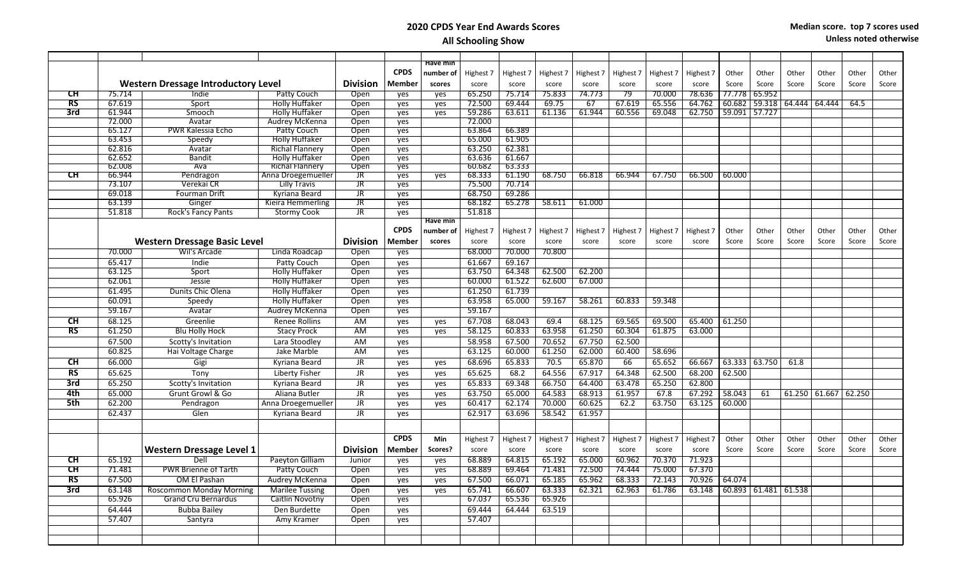| <b>Have min</b><br><b>CPDS</b><br>number of<br>Highest 7<br>Highest 7<br>Highest 7<br>Highest 7<br>Other<br>Highest 7<br>Highest 7<br>Highest 7<br>Other<br>Other<br>Other<br>Other<br><b>Western Dressage Introductory Level</b><br><b>Division</b><br><b>Member</b><br>Score<br>Score<br>Score<br>score<br>Score<br>Score<br>scores<br>score<br>score<br>score<br>score<br>score<br>score<br>СH<br>Indie<br>65.250<br>75.714<br>75.833<br>74.773<br>79<br>70.000<br>78.636<br>77.778<br>65.952<br>75.714<br>Patty Couch<br>Open<br>yes<br>yes<br>RS<br>67.619<br><b>Holly Huffaker</b><br>72.500<br>69.444<br>69.75<br>67<br>67.619<br>65.556<br>64.762<br>60.682<br>59.318<br>64.444<br>Sport<br>Open<br>yes<br>64.444<br>64.5<br>yes<br>3rd<br>61.944<br><b>Holly Huffaker</b><br>59.286<br>60.556<br>69.048<br>59.091 57.727<br>Open<br>63.611<br>61.136<br>61.944<br>62.750<br>Smooch<br>yes<br>yes<br>72.000<br>72.000<br>Avatar<br>Audrey McKenna<br>Open<br>yes<br>65.127<br>63.864<br>66.389<br><b>PWR Kalessia Echo</b><br>Patty Couch<br>Open<br>yes<br>65.000<br>61.905<br>63.453<br><b>Holly Huffaker</b><br>Open<br>Speedy<br>yes<br>62.816<br><b>Richal Flannery</b><br>63.250<br>62.381<br>Open<br>Avatar<br>yes<br>62.652<br><b>Bandit</b><br><b>Holly Huffaker</b><br>63.636<br>61.667<br>Open<br>yes<br>62.008<br>Ava<br><b>Richal Flannery</b><br>Open<br>60.682<br>63.333<br>ves<br>CН<br>61.190<br>66.944<br>Pendragon<br>Anna Droegemueller<br>$\overline{\mathsf{J}\mathsf{R}}$<br>68.333<br>68.750<br>66.818<br>66.944<br>67.750<br>66.500<br>60.000<br>yes<br>yes<br>73.107<br>Verekai CR<br>75.500<br>70.714<br><b>Lilly Travis</b><br>$\overline{\mathsf{J}\mathsf{R}}$<br>yes<br>69.018<br>69.286<br>Fourman Drift<br>Kyriana Beard<br>$\overline{\mathsf{J}\mathsf{R}}$<br>68.750<br>yes<br>63.139<br>68.182<br>65.278<br>58.611<br>61.000<br>Ginger<br>Kieira Hemmerling<br>$\overline{\mathsf{J}\mathsf{R}}$<br>yes<br>51.818<br>51.818<br>Rock's Fancy Pants<br><b>Stormy Cook</b><br><b>JR</b><br>yes<br>Have min<br><b>CPDS</b><br>number of<br>Highest 7<br>Highest 7<br>Highest 7<br>Highest 7<br>Highest 7<br>Highest 7<br>Highest 7<br>Other<br>Other<br>Other<br>Other<br>Other<br><b>Western Dressage Basic Level</b><br><b>Division</b><br>Score<br><b>Member</b><br>scores<br>score<br>score<br>score<br>Score<br>Score<br>Score<br>Score<br>score<br>score<br>score<br>score<br>68.000<br>70.000<br>70.800<br>70.000<br>Wil's Arcade<br>Linda Roadcap<br>Open<br>yes |       |
|-------------------------------------------------------------------------------------------------------------------------------------------------------------------------------------------------------------------------------------------------------------------------------------------------------------------------------------------------------------------------------------------------------------------------------------------------------------------------------------------------------------------------------------------------------------------------------------------------------------------------------------------------------------------------------------------------------------------------------------------------------------------------------------------------------------------------------------------------------------------------------------------------------------------------------------------------------------------------------------------------------------------------------------------------------------------------------------------------------------------------------------------------------------------------------------------------------------------------------------------------------------------------------------------------------------------------------------------------------------------------------------------------------------------------------------------------------------------------------------------------------------------------------------------------------------------------------------------------------------------------------------------------------------------------------------------------------------------------------------------------------------------------------------------------------------------------------------------------------------------------------------------------------------------------------------------------------------------------------------------------------------------------------------------------------------------------------------------------------------------------------------------------------------------------------------------------------------------------------------------------------------------------------------------------------------------------------------------------------------------------------------------------------------------------------------------------------------------------------------------------------------------|-------|
|                                                                                                                                                                                                                                                                                                                                                                                                                                                                                                                                                                                                                                                                                                                                                                                                                                                                                                                                                                                                                                                                                                                                                                                                                                                                                                                                                                                                                                                                                                                                                                                                                                                                                                                                                                                                                                                                                                                                                                                                                                                                                                                                                                                                                                                                                                                                                                                                                                                                                                                   |       |
|                                                                                                                                                                                                                                                                                                                                                                                                                                                                                                                                                                                                                                                                                                                                                                                                                                                                                                                                                                                                                                                                                                                                                                                                                                                                                                                                                                                                                                                                                                                                                                                                                                                                                                                                                                                                                                                                                                                                                                                                                                                                                                                                                                                                                                                                                                                                                                                                                                                                                                                   | Other |
|                                                                                                                                                                                                                                                                                                                                                                                                                                                                                                                                                                                                                                                                                                                                                                                                                                                                                                                                                                                                                                                                                                                                                                                                                                                                                                                                                                                                                                                                                                                                                                                                                                                                                                                                                                                                                                                                                                                                                                                                                                                                                                                                                                                                                                                                                                                                                                                                                                                                                                                   | Score |
|                                                                                                                                                                                                                                                                                                                                                                                                                                                                                                                                                                                                                                                                                                                                                                                                                                                                                                                                                                                                                                                                                                                                                                                                                                                                                                                                                                                                                                                                                                                                                                                                                                                                                                                                                                                                                                                                                                                                                                                                                                                                                                                                                                                                                                                                                                                                                                                                                                                                                                                   |       |
|                                                                                                                                                                                                                                                                                                                                                                                                                                                                                                                                                                                                                                                                                                                                                                                                                                                                                                                                                                                                                                                                                                                                                                                                                                                                                                                                                                                                                                                                                                                                                                                                                                                                                                                                                                                                                                                                                                                                                                                                                                                                                                                                                                                                                                                                                                                                                                                                                                                                                                                   |       |
|                                                                                                                                                                                                                                                                                                                                                                                                                                                                                                                                                                                                                                                                                                                                                                                                                                                                                                                                                                                                                                                                                                                                                                                                                                                                                                                                                                                                                                                                                                                                                                                                                                                                                                                                                                                                                                                                                                                                                                                                                                                                                                                                                                                                                                                                                                                                                                                                                                                                                                                   |       |
|                                                                                                                                                                                                                                                                                                                                                                                                                                                                                                                                                                                                                                                                                                                                                                                                                                                                                                                                                                                                                                                                                                                                                                                                                                                                                                                                                                                                                                                                                                                                                                                                                                                                                                                                                                                                                                                                                                                                                                                                                                                                                                                                                                                                                                                                                                                                                                                                                                                                                                                   |       |
|                                                                                                                                                                                                                                                                                                                                                                                                                                                                                                                                                                                                                                                                                                                                                                                                                                                                                                                                                                                                                                                                                                                                                                                                                                                                                                                                                                                                                                                                                                                                                                                                                                                                                                                                                                                                                                                                                                                                                                                                                                                                                                                                                                                                                                                                                                                                                                                                                                                                                                                   |       |
|                                                                                                                                                                                                                                                                                                                                                                                                                                                                                                                                                                                                                                                                                                                                                                                                                                                                                                                                                                                                                                                                                                                                                                                                                                                                                                                                                                                                                                                                                                                                                                                                                                                                                                                                                                                                                                                                                                                                                                                                                                                                                                                                                                                                                                                                                                                                                                                                                                                                                                                   |       |
|                                                                                                                                                                                                                                                                                                                                                                                                                                                                                                                                                                                                                                                                                                                                                                                                                                                                                                                                                                                                                                                                                                                                                                                                                                                                                                                                                                                                                                                                                                                                                                                                                                                                                                                                                                                                                                                                                                                                                                                                                                                                                                                                                                                                                                                                                                                                                                                                                                                                                                                   |       |
|                                                                                                                                                                                                                                                                                                                                                                                                                                                                                                                                                                                                                                                                                                                                                                                                                                                                                                                                                                                                                                                                                                                                                                                                                                                                                                                                                                                                                                                                                                                                                                                                                                                                                                                                                                                                                                                                                                                                                                                                                                                                                                                                                                                                                                                                                                                                                                                                                                                                                                                   |       |
|                                                                                                                                                                                                                                                                                                                                                                                                                                                                                                                                                                                                                                                                                                                                                                                                                                                                                                                                                                                                                                                                                                                                                                                                                                                                                                                                                                                                                                                                                                                                                                                                                                                                                                                                                                                                                                                                                                                                                                                                                                                                                                                                                                                                                                                                                                                                                                                                                                                                                                                   |       |
|                                                                                                                                                                                                                                                                                                                                                                                                                                                                                                                                                                                                                                                                                                                                                                                                                                                                                                                                                                                                                                                                                                                                                                                                                                                                                                                                                                                                                                                                                                                                                                                                                                                                                                                                                                                                                                                                                                                                                                                                                                                                                                                                                                                                                                                                                                                                                                                                                                                                                                                   |       |
|                                                                                                                                                                                                                                                                                                                                                                                                                                                                                                                                                                                                                                                                                                                                                                                                                                                                                                                                                                                                                                                                                                                                                                                                                                                                                                                                                                                                                                                                                                                                                                                                                                                                                                                                                                                                                                                                                                                                                                                                                                                                                                                                                                                                                                                                                                                                                                                                                                                                                                                   |       |
|                                                                                                                                                                                                                                                                                                                                                                                                                                                                                                                                                                                                                                                                                                                                                                                                                                                                                                                                                                                                                                                                                                                                                                                                                                                                                                                                                                                                                                                                                                                                                                                                                                                                                                                                                                                                                                                                                                                                                                                                                                                                                                                                                                                                                                                                                                                                                                                                                                                                                                                   |       |
|                                                                                                                                                                                                                                                                                                                                                                                                                                                                                                                                                                                                                                                                                                                                                                                                                                                                                                                                                                                                                                                                                                                                                                                                                                                                                                                                                                                                                                                                                                                                                                                                                                                                                                                                                                                                                                                                                                                                                                                                                                                                                                                                                                                                                                                                                                                                                                                                                                                                                                                   |       |
|                                                                                                                                                                                                                                                                                                                                                                                                                                                                                                                                                                                                                                                                                                                                                                                                                                                                                                                                                                                                                                                                                                                                                                                                                                                                                                                                                                                                                                                                                                                                                                                                                                                                                                                                                                                                                                                                                                                                                                                                                                                                                                                                                                                                                                                                                                                                                                                                                                                                                                                   |       |
|                                                                                                                                                                                                                                                                                                                                                                                                                                                                                                                                                                                                                                                                                                                                                                                                                                                                                                                                                                                                                                                                                                                                                                                                                                                                                                                                                                                                                                                                                                                                                                                                                                                                                                                                                                                                                                                                                                                                                                                                                                                                                                                                                                                                                                                                                                                                                                                                                                                                                                                   |       |
|                                                                                                                                                                                                                                                                                                                                                                                                                                                                                                                                                                                                                                                                                                                                                                                                                                                                                                                                                                                                                                                                                                                                                                                                                                                                                                                                                                                                                                                                                                                                                                                                                                                                                                                                                                                                                                                                                                                                                                                                                                                                                                                                                                                                                                                                                                                                                                                                                                                                                                                   | Other |
|                                                                                                                                                                                                                                                                                                                                                                                                                                                                                                                                                                                                                                                                                                                                                                                                                                                                                                                                                                                                                                                                                                                                                                                                                                                                                                                                                                                                                                                                                                                                                                                                                                                                                                                                                                                                                                                                                                                                                                                                                                                                                                                                                                                                                                                                                                                                                                                                                                                                                                                   | Score |
|                                                                                                                                                                                                                                                                                                                                                                                                                                                                                                                                                                                                                                                                                                                                                                                                                                                                                                                                                                                                                                                                                                                                                                                                                                                                                                                                                                                                                                                                                                                                                                                                                                                                                                                                                                                                                                                                                                                                                                                                                                                                                                                                                                                                                                                                                                                                                                                                                                                                                                                   |       |
| 65.417<br>Indie<br>Patty Couch<br>61.667<br>69.167<br>Open<br>yes                                                                                                                                                                                                                                                                                                                                                                                                                                                                                                                                                                                                                                                                                                                                                                                                                                                                                                                                                                                                                                                                                                                                                                                                                                                                                                                                                                                                                                                                                                                                                                                                                                                                                                                                                                                                                                                                                                                                                                                                                                                                                                                                                                                                                                                                                                                                                                                                                                                 |       |
| 62.500<br>62.200<br>63.125<br>63.750<br>64.348<br>Sport<br><b>Holly Huffaker</b><br>Open<br>ves                                                                                                                                                                                                                                                                                                                                                                                                                                                                                                                                                                                                                                                                                                                                                                                                                                                                                                                                                                                                                                                                                                                                                                                                                                                                                                                                                                                                                                                                                                                                                                                                                                                                                                                                                                                                                                                                                                                                                                                                                                                                                                                                                                                                                                                                                                                                                                                                                   |       |
| 61.522<br>62.600<br>67.000<br>62.061<br><b>Holly Huffaker</b><br>60.000<br>Jessie<br>Open<br>yes                                                                                                                                                                                                                                                                                                                                                                                                                                                                                                                                                                                                                                                                                                                                                                                                                                                                                                                                                                                                                                                                                                                                                                                                                                                                                                                                                                                                                                                                                                                                                                                                                                                                                                                                                                                                                                                                                                                                                                                                                                                                                                                                                                                                                                                                                                                                                                                                                  |       |
| 61.495<br>61.250<br>61.739<br>Dunits Chic Olena<br><b>Holly Huffaker</b><br>Open<br>yes                                                                                                                                                                                                                                                                                                                                                                                                                                                                                                                                                                                                                                                                                                                                                                                                                                                                                                                                                                                                                                                                                                                                                                                                                                                                                                                                                                                                                                                                                                                                                                                                                                                                                                                                                                                                                                                                                                                                                                                                                                                                                                                                                                                                                                                                                                                                                                                                                           |       |
| 60.091<br>63.958<br>65.000<br><b>Holly Huffaker</b><br>Open<br>59.167<br>58.261<br>60.833<br>59.348<br>Speedy<br>yes                                                                                                                                                                                                                                                                                                                                                                                                                                                                                                                                                                                                                                                                                                                                                                                                                                                                                                                                                                                                                                                                                                                                                                                                                                                                                                                                                                                                                                                                                                                                                                                                                                                                                                                                                                                                                                                                                                                                                                                                                                                                                                                                                                                                                                                                                                                                                                                              |       |
| 59.167<br>59.167<br>Avatar<br>Audrey McKenna<br>Open<br>yes                                                                                                                                                                                                                                                                                                                                                                                                                                                                                                                                                                                                                                                                                                                                                                                                                                                                                                                                                                                                                                                                                                                                                                                                                                                                                                                                                                                                                                                                                                                                                                                                                                                                                                                                                                                                                                                                                                                                                                                                                                                                                                                                                                                                                                                                                                                                                                                                                                                       |       |
| Greenlie<br><b>CH</b><br>68.125<br><b>Renee Rollins</b><br>AM<br>67.708<br>68.043<br>69.4<br>68.125<br>69.565<br>69.500<br>65.400<br>61.250<br>yes<br>yes                                                                                                                                                                                                                                                                                                                                                                                                                                                                                                                                                                                                                                                                                                                                                                                                                                                                                                                                                                                                                                                                                                                                                                                                                                                                                                                                                                                                                                                                                                                                                                                                                                                                                                                                                                                                                                                                                                                                                                                                                                                                                                                                                                                                                                                                                                                                                         |       |
| RS<br>61.250<br>61.250<br><b>Blu Holly Hock</b><br><b>Stacy Prock</b><br>AM<br>58.125<br>60.833<br>63.958<br>60.304<br>61.875<br>63.000<br>ves<br>yes                                                                                                                                                                                                                                                                                                                                                                                                                                                                                                                                                                                                                                                                                                                                                                                                                                                                                                                                                                                                                                                                                                                                                                                                                                                                                                                                                                                                                                                                                                                                                                                                                                                                                                                                                                                                                                                                                                                                                                                                                                                                                                                                                                                                                                                                                                                                                             |       |
| 67.500<br>70.652<br>67.750<br>62.500<br>Scotty's Invitation<br>AM<br>58.958<br>67.500<br>Lara Stoodlev<br>yes                                                                                                                                                                                                                                                                                                                                                                                                                                                                                                                                                                                                                                                                                                                                                                                                                                                                                                                                                                                                                                                                                                                                                                                                                                                                                                                                                                                                                                                                                                                                                                                                                                                                                                                                                                                                                                                                                                                                                                                                                                                                                                                                                                                                                                                                                                                                                                                                     |       |
| 63.125<br>60.000<br>61.250<br>62.000<br>60.400<br>58.696<br>60.825<br>Hai Voltage Charge<br>Jake Marble<br><b>AM</b><br>yes                                                                                                                                                                                                                                                                                                                                                                                                                                                                                                                                                                                                                                                                                                                                                                                                                                                                                                                                                                                                                                                                                                                                                                                                                                                                                                                                                                                                                                                                                                                                                                                                                                                                                                                                                                                                                                                                                                                                                                                                                                                                                                                                                                                                                                                                                                                                                                                       |       |
|                                                                                                                                                                                                                                                                                                                                                                                                                                                                                                                                                                                                                                                                                                                                                                                                                                                                                                                                                                                                                                                                                                                                                                                                                                                                                                                                                                                                                                                                                                                                                                                                                                                                                                                                                                                                                                                                                                                                                                                                                                                                                                                                                                                                                                                                                                                                                                                                                                                                                                                   |       |
| 66.000<br>70.5<br>65.870<br>66<br>65.652<br><b>CH</b><br><b>JR</b><br>68.696<br>65.833<br>66.667<br>63.333<br>63.750<br>Gigi<br>Kyriana Beard<br>61.8<br>yes<br>yes                                                                                                                                                                                                                                                                                                                                                                                                                                                                                                                                                                                                                                                                                                                                                                                                                                                                                                                                                                                                                                                                                                                                                                                                                                                                                                                                                                                                                                                                                                                                                                                                                                                                                                                                                                                                                                                                                                                                                                                                                                                                                                                                                                                                                                                                                                                                               |       |
| <b>RS</b><br>64.556<br>67.917<br>64.348<br>62.500<br>68.200<br>65.625<br>Tony<br><b>JR</b><br>65.625<br>68.2<br>62.500<br>Liberty Fisher<br>yes<br>yes                                                                                                                                                                                                                                                                                                                                                                                                                                                                                                                                                                                                                                                                                                                                                                                                                                                                                                                                                                                                                                                                                                                                                                                                                                                                                                                                                                                                                                                                                                                                                                                                                                                                                                                                                                                                                                                                                                                                                                                                                                                                                                                                                                                                                                                                                                                                                            |       |
| 3rd<br><b>JR</b><br>65.833<br>69.348<br>66.750<br>64.400<br>63.478<br>65.250<br>62.800<br>65.250<br>Scotty's Invitation<br>Kyriana Beard<br>yes<br>yes                                                                                                                                                                                                                                                                                                                                                                                                                                                                                                                                                                                                                                                                                                                                                                                                                                                                                                                                                                                                                                                                                                                                                                                                                                                                                                                                                                                                                                                                                                                                                                                                                                                                                                                                                                                                                                                                                                                                                                                                                                                                                                                                                                                                                                                                                                                                                            |       |
| 4th<br>67.8<br>65.000<br>Grunt Growl & Go<br>63.750<br>65.000<br>64.583<br>68.913<br>61.957<br>67.292<br>58.043<br>Aliana Butler<br><b>JR</b><br>61<br>61.250<br>61.667 62.250<br>yes<br>yes                                                                                                                                                                                                                                                                                                                                                                                                                                                                                                                                                                                                                                                                                                                                                                                                                                                                                                                                                                                                                                                                                                                                                                                                                                                                                                                                                                                                                                                                                                                                                                                                                                                                                                                                                                                                                                                                                                                                                                                                                                                                                                                                                                                                                                                                                                                      |       |
| 5th<br>62.200<br>$\overline{\mathsf{J}\mathsf{R}}$<br>60.417<br>62.174<br>70.000<br>60.625<br>62.2<br>63.750<br>63.125<br>60.000<br>Pendragon<br>Anna Droegemueller<br>yes<br>yes                                                                                                                                                                                                                                                                                                                                                                                                                                                                                                                                                                                                                                                                                                                                                                                                                                                                                                                                                                                                                                                                                                                                                                                                                                                                                                                                                                                                                                                                                                                                                                                                                                                                                                                                                                                                                                                                                                                                                                                                                                                                                                                                                                                                                                                                                                                                 |       |
| 61.957<br>62.437<br>Glen<br>JR.<br>62.917<br>63.696<br>58.542<br>Kyriana Beard<br>ves                                                                                                                                                                                                                                                                                                                                                                                                                                                                                                                                                                                                                                                                                                                                                                                                                                                                                                                                                                                                                                                                                                                                                                                                                                                                                                                                                                                                                                                                                                                                                                                                                                                                                                                                                                                                                                                                                                                                                                                                                                                                                                                                                                                                                                                                                                                                                                                                                             |       |
|                                                                                                                                                                                                                                                                                                                                                                                                                                                                                                                                                                                                                                                                                                                                                                                                                                                                                                                                                                                                                                                                                                                                                                                                                                                                                                                                                                                                                                                                                                                                                                                                                                                                                                                                                                                                                                                                                                                                                                                                                                                                                                                                                                                                                                                                                                                                                                                                                                                                                                                   |       |
|                                                                                                                                                                                                                                                                                                                                                                                                                                                                                                                                                                                                                                                                                                                                                                                                                                                                                                                                                                                                                                                                                                                                                                                                                                                                                                                                                                                                                                                                                                                                                                                                                                                                                                                                                                                                                                                                                                                                                                                                                                                                                                                                                                                                                                                                                                                                                                                                                                                                                                                   |       |
| <b>CPDS</b><br>Min<br>Highest 7<br>Highest 7<br>Highest 7<br>Highest 7<br>Highest 7<br>Highest 7<br>Highest 7<br>Other<br>Other<br>Other<br>Other<br>Other                                                                                                                                                                                                                                                                                                                                                                                                                                                                                                                                                                                                                                                                                                                                                                                                                                                                                                                                                                                                                                                                                                                                                                                                                                                                                                                                                                                                                                                                                                                                                                                                                                                                                                                                                                                                                                                                                                                                                                                                                                                                                                                                                                                                                                                                                                                                                        | Other |
| <b>Western Dressage Level 1</b><br><b>Division</b><br><b>Member</b><br>Scores?<br>score<br>Score<br>Score<br>score<br>score<br>score<br>score<br>score<br>score<br>Score<br>Score<br>Score                                                                                                                                                                                                                                                                                                                                                                                                                                                                                                                                                                                                                                                                                                                                                                                                                                                                                                                                                                                                                                                                                                                                                                                                                                                                                                                                                                                                                                                                                                                                                                                                                                                                                                                                                                                                                                                                                                                                                                                                                                                                                                                                                                                                                                                                                                                        | Score |
| 65.000<br>60.962<br>70.370<br>71.923<br>СH<br>65.192<br>Dell<br>Paeyton Gilliam<br>68.889<br>64.815<br>65.192<br>Junior<br>yes<br>yes                                                                                                                                                                                                                                                                                                                                                                                                                                                                                                                                                                                                                                                                                                                                                                                                                                                                                                                                                                                                                                                                                                                                                                                                                                                                                                                                                                                                                                                                                                                                                                                                                                                                                                                                                                                                                                                                                                                                                                                                                                                                                                                                                                                                                                                                                                                                                                             |       |
| CH<br>PWR Brienne of Tarth<br>71.481<br>Patty Couch<br>68.889<br>69.464<br>71.481<br>72.500<br>74.444<br>75.000<br>67.370<br>Open<br>yes<br>yes                                                                                                                                                                                                                                                                                                                                                                                                                                                                                                                                                                                                                                                                                                                                                                                                                                                                                                                                                                                                                                                                                                                                                                                                                                                                                                                                                                                                                                                                                                                                                                                                                                                                                                                                                                                                                                                                                                                                                                                                                                                                                                                                                                                                                                                                                                                                                                   |       |
| <b>RS</b><br>67.500<br>65.185<br>65.962<br>68.333<br>72.143<br>OM El Pashan<br>Audrey McKenna<br>67.500<br>66.071<br>70.926<br>64.074<br>Open<br>yes<br>yes                                                                                                                                                                                                                                                                                                                                                                                                                                                                                                                                                                                                                                                                                                                                                                                                                                                                                                                                                                                                                                                                                                                                                                                                                                                                                                                                                                                                                                                                                                                                                                                                                                                                                                                                                                                                                                                                                                                                                                                                                                                                                                                                                                                                                                                                                                                                                       |       |
| 3rd<br>63.148<br>65.741<br>66.607<br>63.333<br>62.321<br>62.963<br>61.786<br>60.893<br>61.481<br>61.538<br>Roscommon Monday Morning<br><b>Marilee Tussing</b><br>Open<br>yes<br>63.148<br>yes                                                                                                                                                                                                                                                                                                                                                                                                                                                                                                                                                                                                                                                                                                                                                                                                                                                                                                                                                                                                                                                                                                                                                                                                                                                                                                                                                                                                                                                                                                                                                                                                                                                                                                                                                                                                                                                                                                                                                                                                                                                                                                                                                                                                                                                                                                                     |       |
| 65.926<br>Grand Cru Bernardus<br>67.037<br>65.926<br>Caitlin Novotny<br>Open<br>65.536<br>yes                                                                                                                                                                                                                                                                                                                                                                                                                                                                                                                                                                                                                                                                                                                                                                                                                                                                                                                                                                                                                                                                                                                                                                                                                                                                                                                                                                                                                                                                                                                                                                                                                                                                                                                                                                                                                                                                                                                                                                                                                                                                                                                                                                                                                                                                                                                                                                                                                     |       |
| 64.444<br><b>Bubba Bailey</b><br>Den Burdette<br>69.444<br>64.444<br>63.519<br>Open<br>yes                                                                                                                                                                                                                                                                                                                                                                                                                                                                                                                                                                                                                                                                                                                                                                                                                                                                                                                                                                                                                                                                                                                                                                                                                                                                                                                                                                                                                                                                                                                                                                                                                                                                                                                                                                                                                                                                                                                                                                                                                                                                                                                                                                                                                                                                                                                                                                                                                        |       |
| 57.407<br>57.407<br>Santyra<br>Amy Kramer<br>Open<br>yes                                                                                                                                                                                                                                                                                                                                                                                                                                                                                                                                                                                                                                                                                                                                                                                                                                                                                                                                                                                                                                                                                                                                                                                                                                                                                                                                                                                                                                                                                                                                                                                                                                                                                                                                                                                                                                                                                                                                                                                                                                                                                                                                                                                                                                                                                                                                                                                                                                                          |       |
|                                                                                                                                                                                                                                                                                                                                                                                                                                                                                                                                                                                                                                                                                                                                                                                                                                                                                                                                                                                                                                                                                                                                                                                                                                                                                                                                                                                                                                                                                                                                                                                                                                                                                                                                                                                                                                                                                                                                                                                                                                                                                                                                                                                                                                                                                                                                                                                                                                                                                                                   |       |
|                                                                                                                                                                                                                                                                                                                                                                                                                                                                                                                                                                                                                                                                                                                                                                                                                                                                                                                                                                                                                                                                                                                                                                                                                                                                                                                                                                                                                                                                                                                                                                                                                                                                                                                                                                                                                                                                                                                                                                                                                                                                                                                                                                                                                                                                                                                                                                                                                                                                                                                   |       |